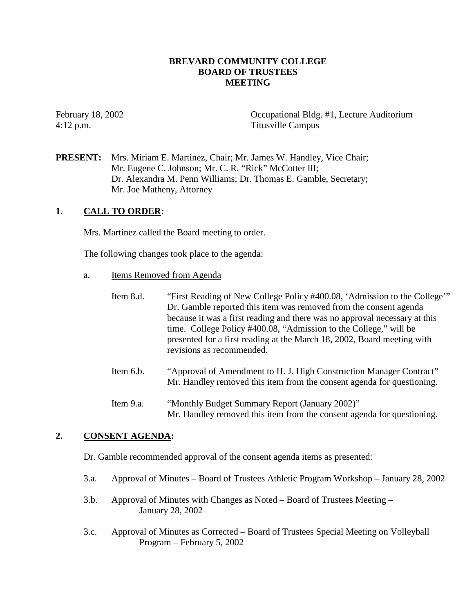# **BREVARD COMMUNITY COLLEGE BOARD OF TRUSTEES MEETING**

4:12 p.m. Titusville Campus

February 18, 2002 Occupational Bldg. #1, Lecture Auditorium

**PRESENT:** Mrs. Miriam E. Martinez, Chair; Mr. James W. Handley, Vice Chair; Mr. Eugene C. Johnson; Mr. C. R. "Rick" McCotter III; Dr. Alexandra M. Penn Williams; Dr. Thomas E. Gamble, Secretary; Mr. Joe Matheny, Attorney

# **1. CALL TO ORDER:**

Mrs. Martinez called the Board meeting to order.

The following changes took place to the agenda:

- a. Items Removed from Agenda
	- Item 8.d. "First Reading of New College Policy #400.08, 'Admission to the College'" Dr. Gamble reported this item was removed from the consent agenda because it was a first reading and there was no approval necessary at this time. College Policy #400.08, "Admission to the College," will be presented for a first reading at the March 18, 2002, Board meeting with revisions as recommended.
	- Item 6.b. "Approval of Amendment to H. J. High Construction Manager Contract" Mr. Handley removed this item from the consent agenda for questioning.
	- Item 9.a. "Monthly Budget Summary Report (January 2002)" Mr. Handley removed this item from the consent agenda for questioning.

# **2. CONSENT AGENDA:**

Dr. Gamble recommended approval of the consent agenda items as presented:

- 3.a. Approval of Minutes Board of Trustees Athletic Program Workshop January 28, 2002
- 3.b. Approval of Minutes with Changes as Noted Board of Trustees Meeting January 28, 2002
- 3.c. Approval of Minutes as Corrected Board of Trustees Special Meeting on Volleyball Program – February 5, 2002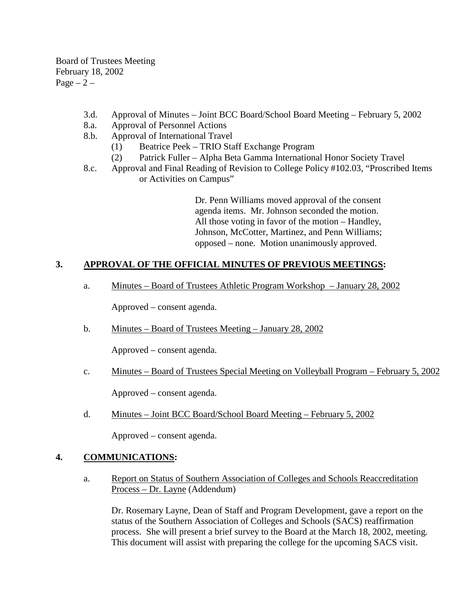Board of Trustees Meeting February 18, 2002  $Page - 2 -$ 

- 3.d. Approval of Minutes Joint BCC Board/School Board Meeting February 5, 2002
- 8.a. Approval of Personnel Actions
- 8.b. Approval of International Travel
	- (1) Beatrice Peek TRIO Staff Exchange Program
	- (2) Patrick Fuller Alpha Beta Gamma International Honor Society Travel
- 8.c. Approval and Final Reading of Revision to College Policy #102.03, "Proscribed Items or Activities on Campus"

Dr. Penn Williams moved approval of the consent agenda items. Mr. Johnson seconded the motion. All those voting in favor of the motion – Handley, Johnson, McCotter, Martinez, and Penn Williams; opposed – none. Motion unanimously approved.

# **3. APPROVAL OF THE OFFICIAL MINUTES OF PREVIOUS MEETINGS:**

a. Minutes – Board of Trustees Athletic Program Workshop – January 28, 2002

Approved – consent agenda.

b. Minutes – Board of Trustees Meeting – January 28, 2002

Approved – consent agenda.

c. Minutes – Board of Trustees Special Meeting on Volleyball Program – February 5, 2002

Approved – consent agenda.

d. Minutes – Joint BCC Board/School Board Meeting – February 5, 2002

Approved – consent agenda.

## **4. COMMUNICATIONS:**

a. Report on Status of Southern Association of Colleges and Schools Reaccreditation Process – Dr. Layne (Addendum)

Dr. Rosemary Layne, Dean of Staff and Program Development, gave a report on the status of the Southern Association of Colleges and Schools (SACS) reaffirmation process. She will present a brief survey to the Board at the March 18, 2002, meeting. This document will assist with preparing the college for the upcoming SACS visit.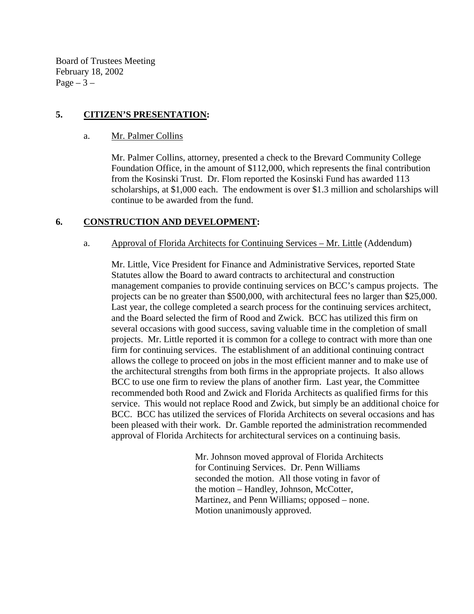Board of Trustees Meeting February 18, 2002 Page  $-3-$ 

# **5. CITIZEN'S PRESENTATION:**

a. Mr. Palmer Collins

Mr. Palmer Collins, attorney, presented a check to the Brevard Community College Foundation Office, in the amount of \$112,000, which represents the final contribution from the Kosinski Trust. Dr. Flom reported the Kosinski Fund has awarded 113 scholarships, at \$1,000 each. The endowment is over \$1.3 million and scholarships will continue to be awarded from the fund.

# **6. CONSTRUCTION AND DEVELOPMENT:**

## a. Approval of Florida Architects for Continuing Services – Mr. Little (Addendum)

Mr. Little, Vice President for Finance and Administrative Services, reported State Statutes allow the Board to award contracts to architectural and construction management companies to provide continuing services on BCC's campus projects. The projects can be no greater than \$500,000, with architectural fees no larger than \$25,000. Last year, the college completed a search process for the continuing services architect, and the Board selected the firm of Rood and Zwick. BCC has utilized this firm on several occasions with good success, saving valuable time in the completion of small projects. Mr. Little reported it is common for a college to contract with more than one firm for continuing services. The establishment of an additional continuing contract allows the college to proceed on jobs in the most efficient manner and to make use of the architectural strengths from both firms in the appropriate projects. It also allows BCC to use one firm to review the plans of another firm. Last year, the Committee recommended both Rood and Zwick and Florida Architects as qualified firms for this service. This would not replace Rood and Zwick, but simply be an additional choice for BCC. BCC has utilized the services of Florida Architects on several occasions and has been pleased with their work. Dr. Gamble reported the administration recommended approval of Florida Architects for architectural services on a continuing basis.

> Mr. Johnson moved approval of Florida Architects for Continuing Services. Dr. Penn Williams seconded the motion. All those voting in favor of the motion – Handley, Johnson, McCotter, Martinez, and Penn Williams; opposed – none. Motion unanimously approved.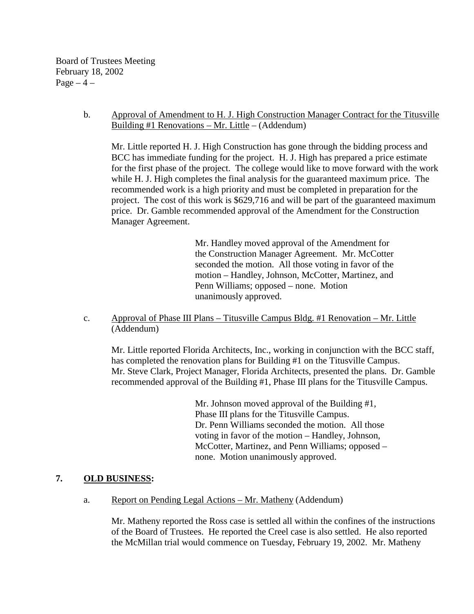Board of Trustees Meeting February 18, 2002  $Page-4$  –

## b. Approval of Amendment to H. J. High Construction Manager Contract for the Titusville Building #1 Renovations – Mr. Little – (Addendum)

Mr. Little reported H. J. High Construction has gone through the bidding process and BCC has immediate funding for the project. H. J. High has prepared a price estimate for the first phase of the project. The college would like to move forward with the work while H. J. High completes the final analysis for the guaranteed maximum price. The recommended work is a high priority and must be completed in preparation for the project. The cost of this work is \$629,716 and will be part of the guaranteed maximum price. Dr. Gamble recommended approval of the Amendment for the Construction Manager Agreement.

> Mr. Handley moved approval of the Amendment for the Construction Manager Agreement. Mr. McCotter seconded the motion. All those voting in favor of the motion – Handley, Johnson, McCotter, Martinez, and Penn Williams; opposed – none. Motion unanimously approved.

c. Approval of Phase III Plans – Titusville Campus Bldg. #1 Renovation – Mr. Little (Addendum)

Mr. Little reported Florida Architects, Inc., working in conjunction with the BCC staff, has completed the renovation plans for Building #1 on the Titusville Campus. Mr. Steve Clark, Project Manager, Florida Architects, presented the plans. Dr. Gamble recommended approval of the Building #1, Phase III plans for the Titusville Campus.

> Mr. Johnson moved approval of the Building #1, Phase III plans for the Titusville Campus. Dr. Penn Williams seconded the motion. All those voting in favor of the motion – Handley, Johnson, McCotter, Martinez, and Penn Williams; opposed – none. Motion unanimously approved.

# **7. OLD BUSINESS:**

a. Report on Pending Legal Actions – Mr. Matheny (Addendum)

 Mr. Matheny reported the Ross case is settled all within the confines of the instructions of the Board of Trustees. He reported the Creel case is also settled. He also reported the McMillan trial would commence on Tuesday, February 19, 2002. Mr. Matheny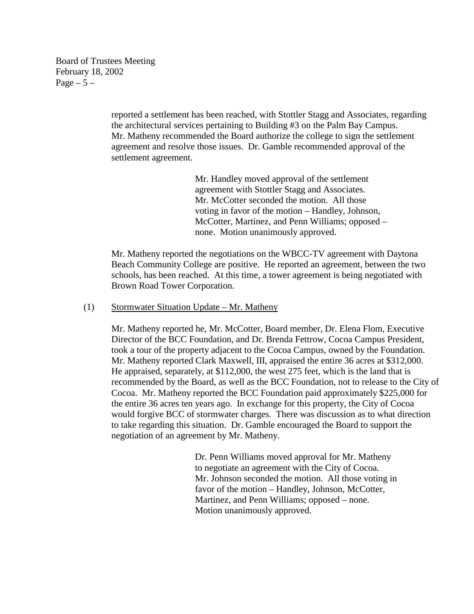Board of Trustees Meeting February 18, 2002 Page  $-5-$ 

> reported a settlement has been reached, with Stottler Stagg and Associates, regarding the architectural services pertaining to Building #3 on the Palm Bay Campus. Mr. Matheny recommended the Board authorize the college to sign the settlement agreement and resolve those issues. Dr. Gamble recommended approval of the settlement agreement.

> > Mr. Handley moved approval of the settlement agreement with Stottler Stagg and Associates. Mr. McCotter seconded the motion. All those voting in favor of the motion – Handley, Johnson, McCotter, Martinez, and Penn Williams; opposed – none. Motion unanimously approved.

Mr. Matheny reported the negotiations on the WBCC-TV agreement with Daytona Beach Community College are positive. He reported an agreement, between the two schools, has been reached. At this time, a tower agreement is being negotiated with Brown Road Tower Corporation.

#### (1) Stormwater Situation Update – Mr. Matheny

Mr. Matheny reported he, Mr. McCotter, Board member, Dr. Elena Flom, Executive Director of the BCC Foundation, and Dr. Brenda Fettrow, Cocoa Campus President, took a tour of the property adjacent to the Cocoa Campus, owned by the Foundation. Mr. Matheny reported Clark Maxwell, III, appraised the entire 36 acres at \$312,000. He appraised, separately, at \$112,000, the west 275 feet, which is the land that is recommended by the Board, as well as the BCC Foundation, not to release to the City of Cocoa. Mr. Matheny reported the BCC Foundation paid approximately \$225,000 for the entire 36 acres ten years ago. In exchange for this property, the City of Cocoa would forgive BCC of stormwater charges. There was discussion as to what direction to take regarding this situation. Dr. Gamble encouraged the Board to support the negotiation of an agreement by Mr. Matheny.

> Dr. Penn Williams moved approval for Mr. Matheny to negotiate an agreement with the City of Cocoa. Mr. Johnson seconded the motion. All those voting in favor of the motion – Handley, Johnson, McCotter, Martinez, and Penn Williams; opposed – none. Motion unanimously approved.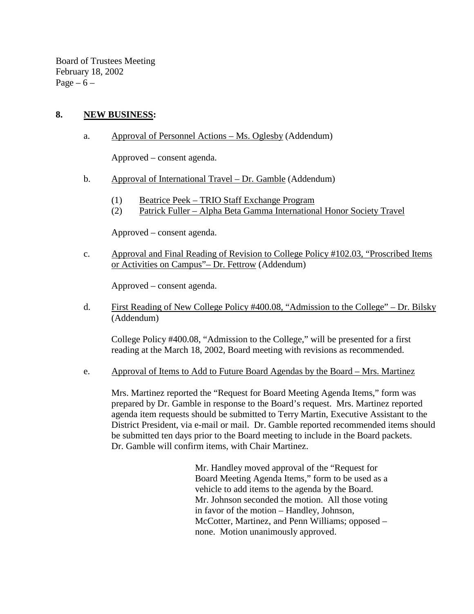Board of Trustees Meeting February 18, 2002 Page –  $6$  –

# **8. NEW BUSINESS:**

a. Approval of Personnel Actions – Ms. Oglesby (Addendum)

Approved – consent agenda.

- b. Approval of International Travel Dr. Gamble (Addendum)
	- (1) Beatrice Peek TRIO Staff Exchange Program
	- (2) Patrick Fuller Alpha Beta Gamma International Honor Society Travel

Approved – consent agenda.

c. Approval and Final Reading of Revision to College Policy #102.03, "Proscribed Items or Activities on Campus"– Dr. Fettrow (Addendum)

Approved – consent agenda.

d. First Reading of New College Policy #400.08, "Admission to the College" – Dr. Bilsky (Addendum)

 College Policy #400.08, "Admission to the College," will be presented for a first reading at the March 18, 2002, Board meeting with revisions as recommended.

e. Approval of Items to Add to Future Board Agendas by the Board – Mrs. Martinez

Mrs. Martinez reported the "Request for Board Meeting Agenda Items," form was prepared by Dr. Gamble in response to the Board's request. Mrs. Martinez reported agenda item requests should be submitted to Terry Martin, Executive Assistant to the District President, via e-mail or mail. Dr. Gamble reported recommended items should be submitted ten days prior to the Board meeting to include in the Board packets. Dr. Gamble will confirm items, with Chair Martinez.

> Mr. Handley moved approval of the "Request for Board Meeting Agenda Items," form to be used as a vehicle to add items to the agenda by the Board. Mr. Johnson seconded the motion. All those voting in favor of the motion – Handley, Johnson, McCotter, Martinez, and Penn Williams; opposed – none. Motion unanimously approved.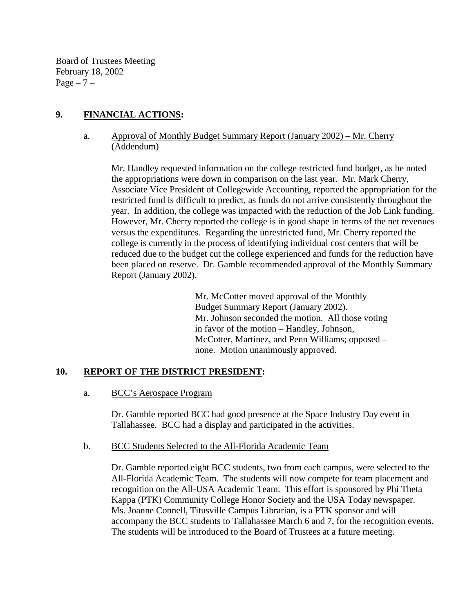Board of Trustees Meeting February 18, 2002  $Page - 7 -$ 

# **9. FINANCIAL ACTIONS:**

a. Approval of Monthly Budget Summary Report (January 2002) – Mr. Cherry (Addendum)

Mr. Handley requested information on the college restricted fund budget, as he noted the appropriations were down in comparison on the last year. Mr. Mark Cherry, Associate Vice President of Collegewide Accounting, reported the appropriation for the restricted fund is difficult to predict, as funds do not arrive consistently throughout the year. In addition, the college was impacted with the reduction of the Job Link funding. However, Mr. Cherry reported the college is in good shape in terms of the net revenues versus the expenditures. Regarding the unrestricted fund, Mr. Cherry reported the college is currently in the process of identifying individual cost centers that will be reduced due to the budget cut the college experienced and funds for the reduction have been placed on reserve. Dr. Gamble recommended approval of the Monthly Summary Report (January 2002).

> Mr. McCotter moved approval of the Monthly Budget Summary Report (January 2002). Mr. Johnson seconded the motion. All those voting in favor of the motion – Handley, Johnson, McCotter, Martinez, and Penn Williams; opposed – none. Motion unanimously approved.

## **10. REPORT OF THE DISTRICT PRESIDENT:**

a. BCC's Aerospace Program

Dr. Gamble reported BCC had good presence at the Space Industry Day event in Tallahassee. BCC had a display and participated in the activities.

b. BCC Students Selected to the All-Florida Academic Team

Dr. Gamble reported eight BCC students, two from each campus, were selected to the All-Florida Academic Team. The students will now compete for team placement and recognition on the All-USA Academic Team. This effort is sponsored by Phi Theta Kappa (PTK) Community College Honor Society and the USA Today newspaper. Ms. Joanne Connell, Titusville Campus Librarian, is a PTK sponsor and will accompany the BCC students to Tallahassee March 6 and 7, for the recognition events. The students will be introduced to the Board of Trustees at a future meeting.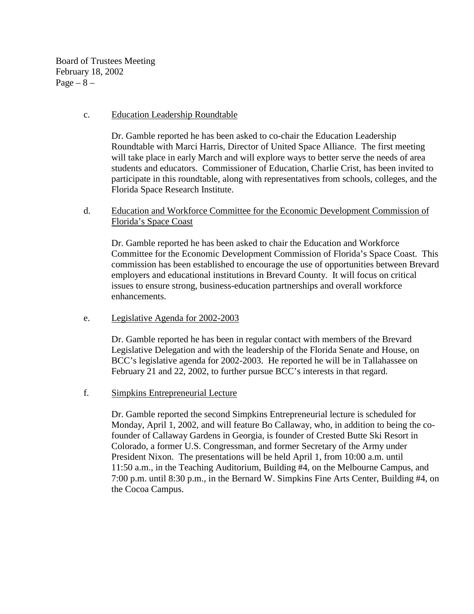Board of Trustees Meeting February 18, 2002  $Page - 8 -$ 

### c. Education Leadership Roundtable

Dr. Gamble reported he has been asked to co-chair the Education Leadership Roundtable with Marci Harris, Director of United Space Alliance. The first meeting will take place in early March and will explore ways to better serve the needs of area students and educators. Commissioner of Education, Charlie Crist, has been invited to participate in this roundtable, along with representatives from schools, colleges, and the Florida Space Research Institute.

# d. Education and Workforce Committee for the Economic Development Commission of Florida's Space Coast

Dr. Gamble reported he has been asked to chair the Education and Workforce Committee for the Economic Development Commission of Florida's Space Coast. This commission has been established to encourage the use of opportunities between Brevard employers and educational institutions in Brevard County. It will focus on critical issues to ensure strong, business-education partnerships and overall workforce enhancements.

### e. Legislative Agenda for 2002-2003

Dr. Gamble reported he has been in regular contact with members of the Brevard Legislative Delegation and with the leadership of the Florida Senate and House, on BCC's legislative agenda for 2002-2003. He reported he will be in Tallahassee on February 21 and 22, 2002, to further pursue BCC's interests in that regard.

## f. Simpkins Entrepreneurial Lecture

Dr. Gamble reported the second Simpkins Entrepreneurial lecture is scheduled for Monday, April 1, 2002, and will feature Bo Callaway, who, in addition to being the cofounder of Callaway Gardens in Georgia, is founder of Crested Butte Ski Resort in Colorado, a former U.S. Congressman, and former Secretary of the Army under President Nixon. The presentations will be held April 1, from 10:00 a.m. until 11:50 a.m., in the Teaching Auditorium, Building #4, on the Melbourne Campus, and 7:00 p.m. until 8:30 p.m., in the Bernard W. Simpkins Fine Arts Center, Building #4, on the Cocoa Campus.